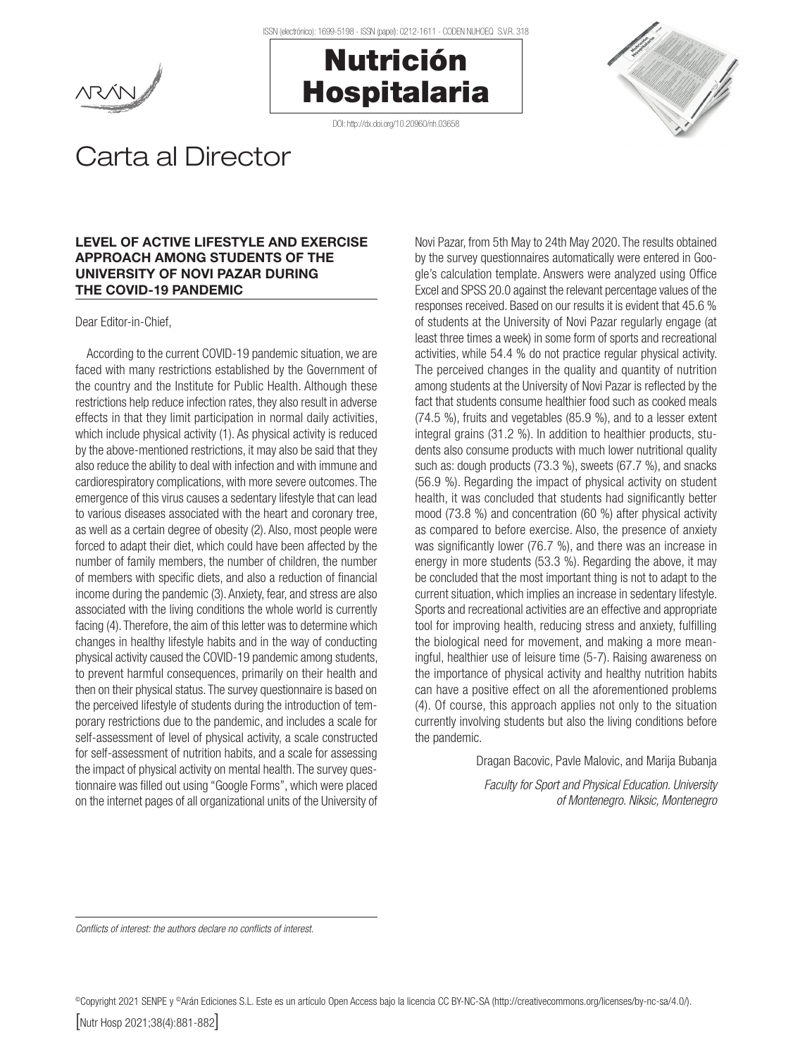





## Carta al Director

## LEVEL OF ACTIVE LIFESTYLE AND EXERCISE APPROACH AMONG STUDENTS OF THE UNIVERSITY OF NOVI PAZAR DURING THE COVID-19 PANDEMIC

Dear Editor-in-Chief,

According to the current COVID-19 pandemic situation, we are faced with many restrictions established by the Government of the country and the Institute for Public Health. Although these restrictions help reduce infection rates, they also result in adverse effects in that they limit participation in normal daily activities, which include physical activity (1). As physical activity is reduced by the above-mentioned restrictions, it may also be said that they also reduce the ability to deal with infection and with immune and cardiorespiratory complications, with more severe outcomes. The emergence of this virus causes a sedentary lifestyle that can lead to various diseases associated with the heart and coronary tree, as well as a certain degree of obesity (2). Also, most people were forced to adapt their diet, which could have been affected by the number of family members, the number of children, the number of members with specific diets, and also a reduction of financial income during the pandemic (3). Anxiety, fear, and stress are also associated with the living conditions the whole world is currently facing (4). Therefore, the aim of this letter was to determine which changes in healthy lifestyle habits and in the way of conducting physical activity caused the COVID-19 pandemic among students, to prevent harmful consequences, primarily on their health and then on their physical status. The survey questionnaire is based on the perceived lifestyle of students during the introduction of temporary restrictions due to the pandemic, and includes a scale for self-assessment of level of physical activity, a scale constructed for self-assessment of nutrition habits, and a scale for assessing the impact of physical activity on mental health. The survey questionnaire was filled out using "Google Forms", which were placed on the internet pages of all organizational units of the University of

Novi Pazar, from 5th May to 24th May 2020. The results obtained by the survey questionnaires automatically were entered in Google's calculation template. Answers were analyzed using Office Excel and SPSS 20.0 against the relevant percentage values of the responses received. Based on our results it is evident that 45.6 % of students at the University of Novi Pazar regularly engage (at least three times a week) in some form of sports and recreational activities, while 54.4 % do not practice regular physical activity. The perceived changes in the quality and quantity of nutrition among students at the University of Novi Pazar is reflected by the fact that students consume healthier food such as cooked meals (74.5 %), fruits and vegetables (85.9 %), and to a lesser extent integral grains (31.2 %). In addition to healthier products, students also consume products with much lower nutritional quality such as: dough products (73.3 %), sweets (67.7 %), and snacks (56.9 %). Regarding the impact of physical activity on student health, it was concluded that students had significantly better mood (73.8 %) and concentration (60 %) after physical activity as compared to before exercise. Also, the presence of anxiety was significantly lower (76.7 %), and there was an increase in energy in more students (53.3 %). Regarding the above, it may be concluded that the most important thing is not to adapt to the current situation, which implies an increase in sedentary lifestyle. Sports and recreational activities are an effective and appropriate tool for improving health, reducing stress and anxiety, fulfilling the biological need for movement, and making a more meaningful, healthier use of leisure time (5-7). Raising awareness on the importance of physical activity and healthy nutrition habits can have a positive effect on all the aforementioned problems (4). Of course, this approach applies not only to the situation currently involving students but also the living conditions before the pandemic.

Dragan Bacovic, Pavle Malovic, and Marija Bubanja

*Faculty for Sport and Physical Education. University of Montenegro. Niksic, Montenegro*

*Conflicts of interest: the authors declare no conflicts of interest.*

©Copyright 2021 SENPE y ©Arán Ediciones S.L. Este es un artículo Open Access bajo la licencia CC BY-NC-SA (http://creativecommons.org/licenses/by-nc-sa/4.0/).